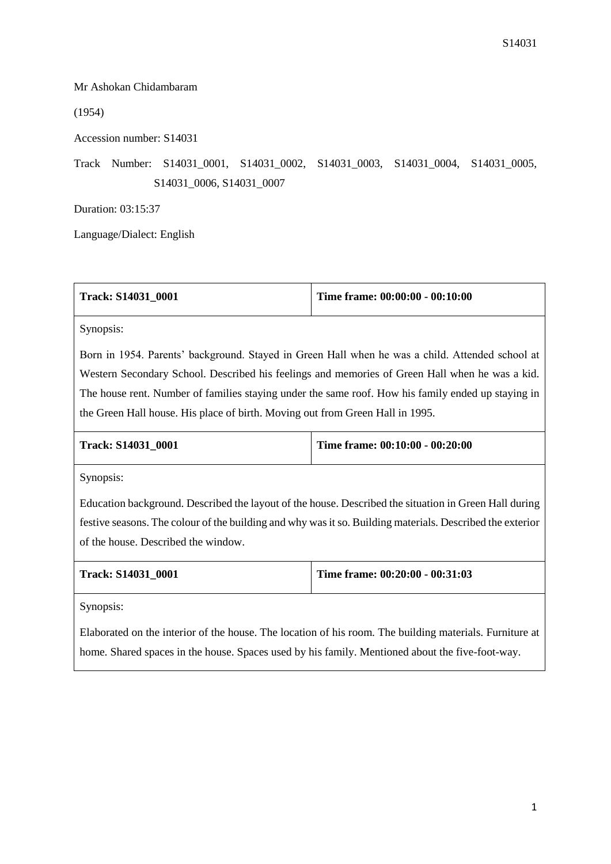## Mr Ashokan Chidambaram

(1954)

Accession number: S14031

Track Number: S14031\_0001, S14031\_0002, S14031\_0003, S14031\_0004, S14031\_0005, S14031\_0006, S14031\_0007

Duration: 03:15:37

Language/Dialect: English

| <b>Track: S14031 0001</b> | Time frame: 00:00:00 - 00:10:00 |
|---------------------------|---------------------------------|
|---------------------------|---------------------------------|

Synopsis:

Born in 1954. Parents' background. Stayed in Green Hall when he was a child. Attended school at Western Secondary School. Described his feelings and memories of Green Hall when he was a kid. The house rent. Number of families staying under the same roof. How his family ended up staying in the Green Hall house. His place of birth. Moving out from Green Hall in 1995.

| <b>Track: S14031 0001</b> | Time frame: $00:10:00 - 00:20:00$ |
|---------------------------|-----------------------------------|
|                           |                                   |

Synopsis:

Education background. Described the layout of the house. Described the situation in Green Hall during festive seasons. The colour of the building and why was it so. Building materials. Described the exterior of the house. Described the window.

| <b>Track: S14031 0001</b> | Time frame: $00:20:00 - 00:31:03$ |
|---------------------------|-----------------------------------|
|                           |                                   |

Synopsis:

Elaborated on the interior of the house. The location of his room. The building materials. Furniture at home. Shared spaces in the house. Spaces used by his family. Mentioned about the five-foot-way.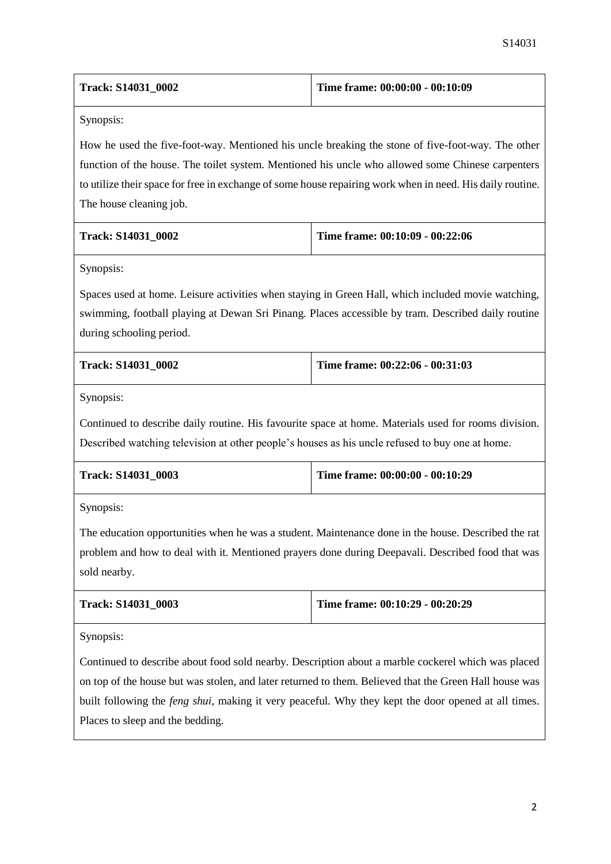| <b>Track: S14031 0002</b> | Time frame: $00:00:00 - 00:10:09$ |
|---------------------------|-----------------------------------|
|                           |                                   |

Synopsis:

How he used the five-foot-way. Mentioned his uncle breaking the stone of five-foot-way. The other function of the house. The toilet system. Mentioned his uncle who allowed some Chinese carpenters to utilize their space for free in exchange of some house repairing work when in need. His daily routine. The house cleaning job.

| Track: S14031 0002 | Time frame: $00:10:09 - 00:22:06$ |
|--------------------|-----------------------------------|
|                    |                                   |

Synopsis:

Spaces used at home. Leisure activities when staying in Green Hall, which included movie watching, swimming, football playing at Dewan Sri Pinang. Places accessible by tram. Described daily routine during schooling period.

| <b>Track: S14031 0002</b> | Time frame: $00:22:06 - 00:31:03$ |
|---------------------------|-----------------------------------|
|                           |                                   |

Synopsis:

Continued to describe daily routine. His favourite space at home. Materials used for rooms division. Described watching television at other people's houses as his uncle refused to buy one at home.

| <b>Track: S14031 0003</b> | Time frame: $00:00:00 - 00:10:29$ |
|---------------------------|-----------------------------------|
|                           |                                   |

Synopsis:

The education opportunities when he was a student. Maintenance done in the house. Described the rat problem and how to deal with it. Mentioned prayers done during Deepavali. Described food that was sold nearby.

| <b>Track: S14031 0003</b> | Time frame: $00:10:29 - 00:20:29$ |
|---------------------------|-----------------------------------|
|                           |                                   |

Synopsis:

Continued to describe about food sold nearby. Description about a marble cockerel which was placed on top of the house but was stolen, and later returned to them. Believed that the Green Hall house was built following the *feng shui*, making it very peaceful. Why they kept the door opened at all times. Places to sleep and the bedding.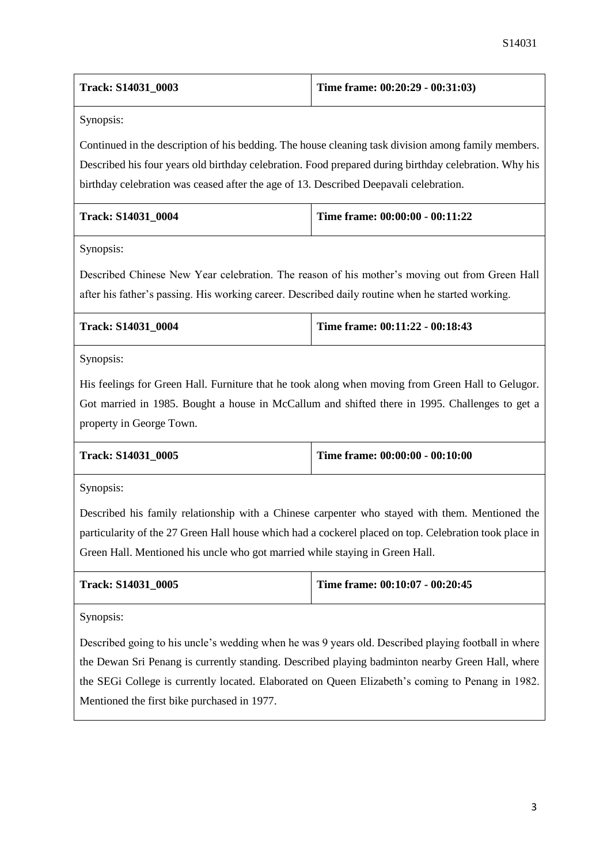| Track: S14031_0003 | Time frame: $00:20:29 - 00:31:03$ |
|--------------------|-----------------------------------|
|                    |                                   |

Synopsis:

Continued in the description of his bedding. The house cleaning task division among family members. Described his four years old birthday celebration. Food prepared during birthday celebration. Why his birthday celebration was ceased after the age of 13. Described Deepavali celebration.

| <b>Track: S14031 0004</b> | Time frame: $00:00:00 - 00:11:22$ |
|---------------------------|-----------------------------------|
|                           |                                   |

Synopsis:

Described Chinese New Year celebration. The reason of his mother's moving out from Green Hall after his father's passing. His working career. Described daily routine when he started working.

| <b>Track: S14031 0004</b> | Time frame: $00:11:22 - 00:18:43$ |
|---------------------------|-----------------------------------|
|                           |                                   |

Synopsis:

His feelings for Green Hall. Furniture that he took along when moving from Green Hall to Gelugor. Got married in 1985. Bought a house in McCallum and shifted there in 1995. Challenges to get a property in George Town.

| <b>Track: S14031 0005</b> | Time frame: $00:00:00 - 00:10:00$ |
|---------------------------|-----------------------------------|
|                           |                                   |

Synopsis:

Described his family relationship with a Chinese carpenter who stayed with them. Mentioned the particularity of the 27 Green Hall house which had a cockerel placed on top. Celebration took place in Green Hall. Mentioned his uncle who got married while staying in Green Hall.

| <b>Track: S14031 0005</b> | Time frame: $00:10:07 - 00:20:45$ |
|---------------------------|-----------------------------------|
|                           |                                   |

Synopsis:

Described going to his uncle's wedding when he was 9 years old. Described playing football in where the Dewan Sri Penang is currently standing. Described playing badminton nearby Green Hall, where the SEGi College is currently located. Elaborated on Queen Elizabeth's coming to Penang in 1982. Mentioned the first bike purchased in 1977.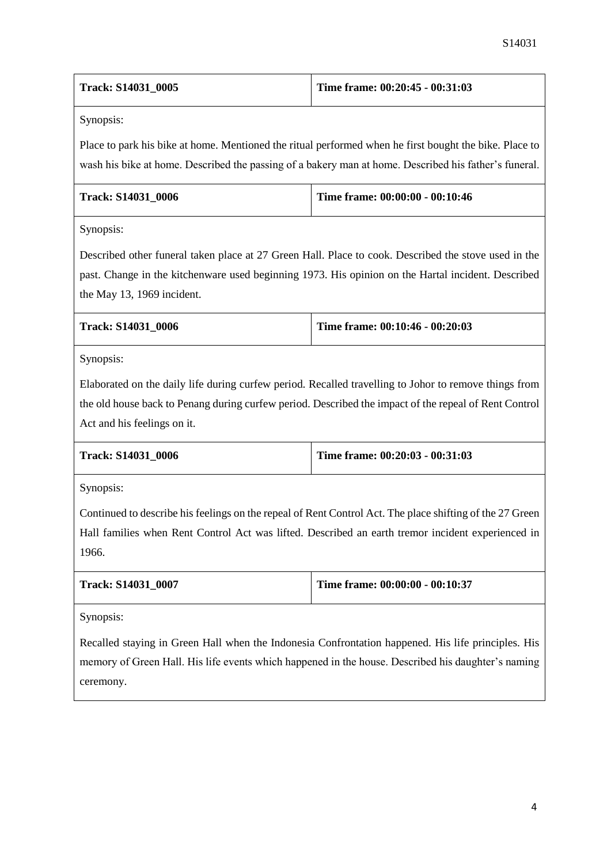| <b>Track: S14031 0005</b> | Time frame: $00:20:45 - 00:31:03$ |
|---------------------------|-----------------------------------|
|---------------------------|-----------------------------------|

Synopsis:

Place to park his bike at home. Mentioned the ritual performed when he first bought the bike. Place to wash his bike at home. Described the passing of a bakery man at home. Described his father's funeral.

| <b>Track: S14031 0006</b> | Time frame: $00:00:00 - 00:10:46$ |
|---------------------------|-----------------------------------|
|                           |                                   |

Synopsis:

Described other funeral taken place at 27 Green Hall. Place to cook. Described the stove used in the past. Change in the kitchenware used beginning 1973. His opinion on the Hartal incident. Described the May 13, 1969 incident.

| <b>Track: S14031 0006</b> | Time frame: $00:10:46 - 00:20:03$ |
|---------------------------|-----------------------------------|
|                           |                                   |

Synopsis:

Elaborated on the daily life during curfew period. Recalled travelling to Johor to remove things from the old house back to Penang during curfew period. Described the impact of the repeal of Rent Control Act and his feelings on it.

| <b>Track: S14031 0006</b> | Time frame: $00:20:03 - 00:31:03$ |
|---------------------------|-----------------------------------|
|                           |                                   |

Synopsis:

Continued to describe his feelings on the repeal of Rent Control Act. The place shifting of the 27 Green Hall families when Rent Control Act was lifted. Described an earth tremor incident experienced in 1966.

| <b>Track: S14031 0007</b> | Time frame: $00:00:00 - 00:10:37$ |
|---------------------------|-----------------------------------|
|                           |                                   |

Synopsis:

Recalled staying in Green Hall when the Indonesia Confrontation happened. His life principles. His memory of Green Hall. His life events which happened in the house. Described his daughter's naming ceremony.